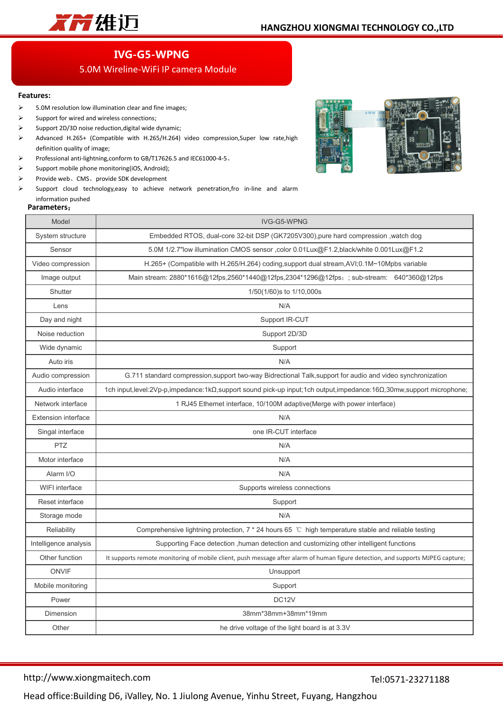

## **IVG-G5-WPNG**

## 5.0M Wireline-WiFi IP camera Module

## **Features:**

- > 5.0M resolution low illumination clear and fine images;
- $\triangleright$  Support for wired and wireless connections;
- Support 2D/3D noise reduction,digital wide dynamic;
- Advanced H.265+ (Compatible with H.265/H.264) video compression,Super low rate,high definition quality of image;
- Professional anti-lightning,conform to GB/T17626.5 and IEC61000-4-5。
- $\triangleright$  Support mobile phone monitoring(iOS, Android);
- Provide web、CMS、provide SDK development
- $\triangleright$  Support cloud technology, easy to achieve network penetration, fro in-line and alarm information pushed

## **Parameters**:



| alamcucio                  |                                                                                                                                     |
|----------------------------|-------------------------------------------------------------------------------------------------------------------------------------|
| Model                      | IVG-G5-WPNG                                                                                                                         |
| System structure           | Embedded RTOS, dual-core 32-bit DSP (GK7205V300),pure hard compression ,watch dog                                                   |
| Sensor                     | 5.0M 1/2.7"low illumination CMOS sensor ,color 0.01Lux@F1.2,black/white 0.001Lux@F1.2                                               |
| Video compression          | H.265+ (Compatible with H.265/H.264) coding, support dual stream, AVI; 0.1M~10Mpbs variable                                         |
| Image output               | Main stream: 2880*1616@12fps,2560*1440@12fps,2304*1296@12fps,; sub-stream: 640*360@12fps                                            |
| Shutter                    | 1/50(1/60)s to 1/10,000s                                                                                                            |
| Lens                       | N/A                                                                                                                                 |
| Day and night              | Support IR-CUT                                                                                                                      |
| Noise reduction            | Support 2D/3D                                                                                                                       |
| Wide dynamic               | Support                                                                                                                             |
| Auto iris                  | N/A                                                                                                                                 |
| Audio compression          | G.711 standard compression, support two-way Bidrectional Talk, support for audio and video synchronization                          |
| Audio interface            | 1ch input,level:2Vp-p,impedance:1k $\Omega$ ,support sound pick-up input;1ch output,impedance:16 $\Omega$ ,30mw,support microphone; |
| Network interface          | 1 RJ45 Ethernet interface, 10/100M adaptive(Merge with power interface)                                                             |
| <b>Extension interface</b> | N/A                                                                                                                                 |
| Singal interface           | one IR-CUT interface                                                                                                                |
| <b>PTZ</b>                 | N/A                                                                                                                                 |
| Motor interface            | N/A                                                                                                                                 |
| Alarm I/O                  | N/A                                                                                                                                 |
| WIFI interface             | Supports wireless connections                                                                                                       |
| Reset interface            | Support                                                                                                                             |
| Storage mode               | N/A                                                                                                                                 |
| Reliability                | Comprehensive lightning protection, 7 * 24 hours 65 ℃ high temperature stable and reliable testing                                  |
| Intelligence analysis      | Supporting Face detection , human detection and customizing other intelligent functions                                             |
| Other function             | It supports remote monitoring of mobile client, push message after alarm of human figure detection, and supports MJPEG capture;     |
| <b>ONVIF</b>               | Unsupport                                                                                                                           |
| Mobile monitoring          | Support                                                                                                                             |
| Power                      | DC <sub>12V</sub>                                                                                                                   |
| Dimension                  | 38mm*38mm+38mm*19mm                                                                                                                 |
| Other                      | he drive voltage of the light board is at 3.3V                                                                                      |
|                            |                                                                                                                                     |

http://www.xiongmaitech.com

Tel:0571-23271188

Head office:Building D6, iValley, No. 1 Jiulong Avenue, Yinhu Street, Fuyang, Hangzhou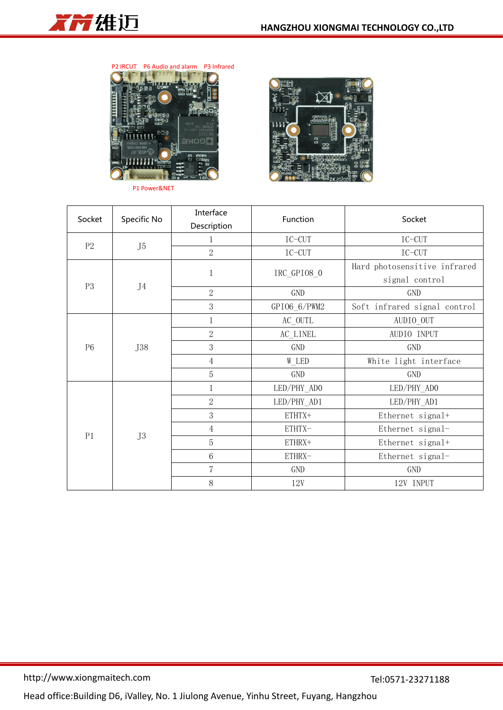

P2 IRCUT P6 Audio and alarm P3 Infrared



P1 Power&NET



| Socket         | Specific No    | Interface<br>Description | Function     | Socket                       |  |
|----------------|----------------|--------------------------|--------------|------------------------------|--|
|                |                |                          |              |                              |  |
| P2             | J5             |                          | $IC-CUT$     | $IC-CUT$                     |  |
|                |                | $\overline{2}$           | $IC-CUT$     | $IC-CUT$                     |  |
| P <sub>3</sub> | J <sub>4</sub> | 1                        | IRC_GPI08_0  | Hard photosensitive infrared |  |
|                |                |                          |              | signal control               |  |
|                |                | $\overline{2}$           | GND          | GND                          |  |
|                |                | 3                        | GPI06_6/PWM2 | Soft infrared signal control |  |
| P <sub>6</sub> | J38            | $\mathbf{1}$             | AC_OUTL      | AUDIO_OUT                    |  |
|                |                | $\overline{2}$           | AC_LINEL     | AUDIO INPUT                  |  |
|                |                | 3                        | GND          | GND                          |  |
|                |                | $\overline{4}$           | W_LED        | White light interface        |  |
|                |                | $\overline{5}$           | GND          | GND                          |  |
| P1             | J3             | 1                        | LED/PHY ADO  | LED/PHY_ADO                  |  |
|                |                | $\overline{2}$           | LED/PHY_AD1  | LED/PHY_AD1                  |  |
|                |                | 3                        | ETHTX+       | Ethernet signal+             |  |
|                |                | $\overline{4}$           | ETHTX-       | Ethernet signal-             |  |
|                |                | $\overline{5}$           | ETHRX+       | Ethernet signal+             |  |
|                |                | $6\,$                    | ETHRX-       | Ethernet signal-             |  |
|                |                | $\overline{7}$           | GND          | GND                          |  |
|                |                | $8\,$                    | 12V          | 12V INPUT                    |  |

Head office:Building D6, iValley, No. 1 Jiulong Avenue, Yinhu Street, Fuyang, Hangzhou